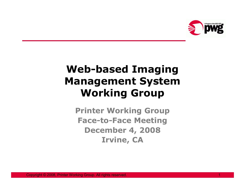

# Web-based Imaging Management SystemWorking Group

Printer Working Group Face-to-Face MeetingDecember 4, 2008Irvine, CA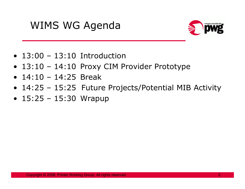# WIMS WG Agenda



- 13:00 13:10 Introduction
- 13:10 14:10 Proxy CIM Provider Prototype<br>• 14:10 14:35 Proak
- 14:10 14:25 Break
- 14:25 15:25 Future Projects/Potential MIB Activity<br>• 15:25 15:20 Wranup
- 15:25 15:30 Wrapup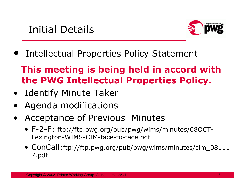

• Intellectual Properties Policy Statement

## This meeting is being held in accord with the PWG Intellectual Properties Policy.

- · Identify Minute Taker<br>· Aseada medifications
- •Agenda modifications
- $\bullet$  Acceptance of Previous Minutes
	- F-2-F: ftp://ftp.pwg.org/pub/pwg/wims/minutes/08OCT-Lexington-WIMS-CIM-face-to-face.pdf
	- ConCall:ftp://ftp.pwg.org/pub/pwg/wims/minutes/cim\_08111 7.pdf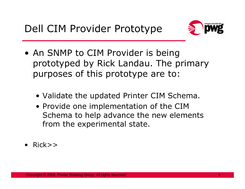

- An SNMP to CIM Provider is being prototyped by Rick Landau. The primary purposes of this prototype are to:
	- Validate the updated Printer CIM Schema.<br>• Provide ane implementation of the CIM
	- Provide one implementation of the CIM Schema to help advance the new elements from the experimental state.
- Rick>>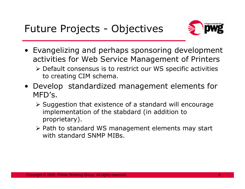

- Evangelizing and perhaps sponsoring development<br>Pactivities for Web Service Management of Printers activities for Web Service Management of Printers
	- > Default consensus is to restrict our WS specific activities to creating CIM schema.
- Develop standardized management elements for<br>MED's MFD's.
	- $\triangleright$  Suggestion that existence of a standard will encourage<br>implementation of the stabdard (in addition to implementation of the stabdard (in addition to proprietary).
	- > Path to standard WS management elements may start<br>with standard SNMD MIPs with standard SNMP MIBs.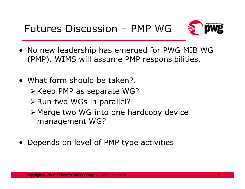

- No new leadership has emerged for PWG MIB WG<br>• (PMP) WIMS will assume PMP responsibilities (PMP). WIMS will assume PMP responsibilities.
- What form should be taken?.
	- $\triangleright$  Keep PMP as separate WG?
	- $\triangleright$  Run two WGs in parallel?
	- > Merge two WG into one hardcopy device management WG?
- Depends on level of PMP type activities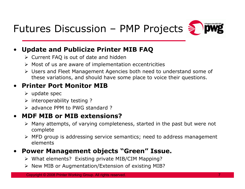



#### $\bullet$ Update and Publicize Printer MIB FAQ

- > Current FAQ is out of date and hidden
- > Most of us are aware of implementation eccentricities
- ► Users and Fleet Management Agencies both need to understand some of <br>these variations, and should have some place to voice their questions these variations, and should have some place to voice their questions.

### • Printer Port Monitor MIB

- > update spec
- interoperability testing ?
- advance PPM to PWG standard ?

#### •MDF MIB or MIB extensions?

- > Many attempts, of varying completeness, started in the past but were not and complete complete
- > MFD group is addressing service semantics; need to address management elements

#### •Power Management objects "Green" Issue.

- > What elements? Existing private MIB/CIM Mapping?
- New MIB or Augmentation/Extension of existing MIB?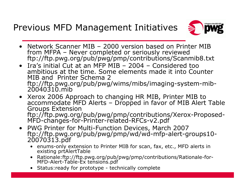### Previous MFD Management Initiatives



- •Network Scanner MIB – 2000 version based on Printer MIB from MFPA – Never completed or seriously reviewed from MFPA – Never completed or seriously reviewed<br>ftp://ftp.pwg.org/pub/pwg/pmp/contributions/Scanmib8.txt
- • Ira's initial Cut at an MFP MIB – 2004 – Considered too ambitious at the time. Some elements made it into Counter MIB and Printer Schema 2 ftp://ftp.pwg.org/pub/pwg/wims/mibs/imaging-system-mib-20040310.mib
- Xerox 2006 Approach to changing HR MIB, Printer MIB to •accommodate MFD Alerts – Dropped in favor of MIB Alert Table<br>Groups Extension ftp://ftp.pwg.org/pub/pwg/pmp/contributions/Xerox-Proposed-MFD-changes-for-Printer-related-RFCs-v2.pdf
- PWG Printer for Multi-Function Devices, March 2007 • PWG Printer for Multi-Function Devices, March 2007 ftp://ftp.pwg.org/pub/pwg/pmp/wd/wd-mfp-alert-groups10- 20070313.pdf
	- enums-only extension to Printer MIB for scan, fax, etc., MFD alerts in existing prtAlertTable
	- Rationale:ftp://ftp.pwg.org/pub/pwg/pmp/contributions/Rationale-for- MFD-Alert-Table-Ex tensions.pdf
	- Status:ready for prototype technically complete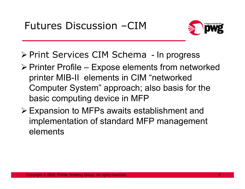

- > Print Services CIM Schema In progress
- $\triangleright$  Printer Profile Expose elements from networked printer MIB-II elements in CIM "networked Computer System" approach; also basis for the basic computing device in MFP
- Expansion to MFPs awaits establishment and<br>implementation of standard MFD menegament implementation of standard MFP management elements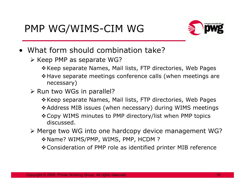

- What form should combination take?<br>S Keen PMP as senarate WG?
	- ≻ Keep PMP as separate WG?
		- -Keep separate Names, Mail lists, FTP directories, Web Pages
		- -Have separate meetings conference calls (when meetings are necessary)
	- Run two WGs in parallel?<br>A Keen senarate Names
		- -Keep separate Names, Mail lists, FTP directories, Web Pages
		- -Address MIB issues (when necessary) during WIMS meetings
		- -Copy WIMS minutes to PMP directory/list when PMP topics discussed.
	- > Merge two WG into one hardcopy device management WG? -Name? WIMS/PMP, WIMS, PMP, HCDM ?
		- -Consideration of PMP role as identified printer MIB reference